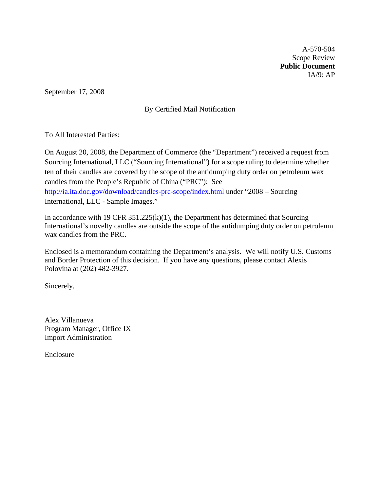A-570-504 Scope Review **Public Document**  IA/9: AP

September 17, 2008

# By Certified Mail Notification

To All Interested Parties:

On August 20, 2008, the Department of Commerce (the "Department") received a request from Sourcing International, LLC ("Sourcing International") for a scope ruling to determine whether ten of their candles are covered by the scope of the antidumping duty order on petroleum wax candles from the People's Republic of China ("PRC"): See <http://ia.ita.doc.gov/download/candles-prc-scope/index.html> under "2008 – Sourcing International, LLC - Sample Images."

In accordance with 19 CFR  $351.225(k)(1)$ , the Department has determined that Sourcing International's novelty candles are outside the scope of the antidumping duty order on petroleum wax candles from the PRC.

Enclosed is a memorandum containing the Department's analysis. We will notify U.S. Customs and Border Protection of this decision. If you have any questions, please contact Alexis Polovina at (202) 482-3927.

Sincerely,

Alex Villanueva Program Manager, Office IX Import Administration

Enclosure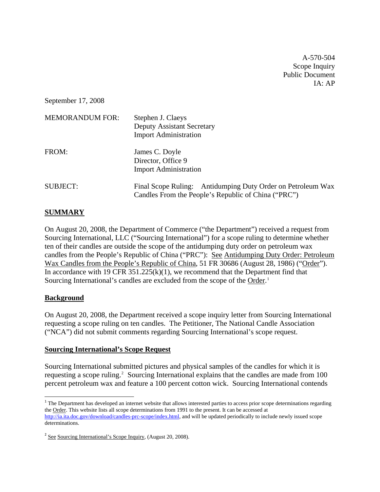A-570-504 Scope Inquiry Public Document IA: AP

September 17, 2008

| <b>MEMORANDUM FOR:</b> | Stephen J. Claeys<br><b>Deputy Assistant Secretary</b><br><b>Import Administration</b>                             |
|------------------------|--------------------------------------------------------------------------------------------------------------------|
| FROM:                  | James C. Doyle<br>Director, Office 9<br><b>Import Administration</b>                                               |
| <b>SUBJECT:</b>        | Final Scope Ruling: Antidumping Duty Order on Petroleum Wax<br>Candles From the People's Republic of China ("PRC") |

## **SUMMARY**

On August 20, 2008, the Department of Commerce ("the Department") received a request from Sourcing International, LLC ("Sourcing International") for a scope ruling to determine whether ten of their candles are outside the scope of the antidumping duty order on petroleum wax candles from the People's Republic of China ("PRC"): See Antidumping Duty Order: Petroleum Wax Candles from the People's Republic of China, 51 FR 30686 (August 28, 1986) ("Order"). In accordance with 19 CFR  $351.225(k)(1)$ , we recommend that the Department find that Sourcing International's candles are excluded from the scope of the Order.<sup>[1](#page-1-0)</sup>

## **Background**

On August 20, 2008, the Department received a scope inquiry letter from Sourcing International requesting a scope ruling on ten candles. The Petitioner, The National Candle Association ("NCA") did not submit comments regarding Sourcing International's scope request.

#### **Sourcing International's Scope Request**

Sourcing International submitted pictures and physical samples of the candles for which it is requesting a scope ruling.<sup>[2](#page-1-1)</sup> Sourcing International explains that the candles are made from 100 percent petroleum wax and feature a 100 percent cotton wick. Sourcing International contends

<span id="page-1-0"></span><sup>&</sup>lt;sup>1</sup> The Department has developed an internet website that allows interested parties to access prior scope determinations regarding the Order. This website lists all scope determinations from 1991 to the present. It can be accessed at [http://ia.ita.doc.gov/download/candles-prc-scope/index.html,](http://ia.ita.doc.gov/download/candles-prc-scope/index.html) and will be updated periodically to include newly issued scope determinations.

<span id="page-1-1"></span><sup>2</sup> See Sourcing International's Scope Inquiry, (August 20, 2008).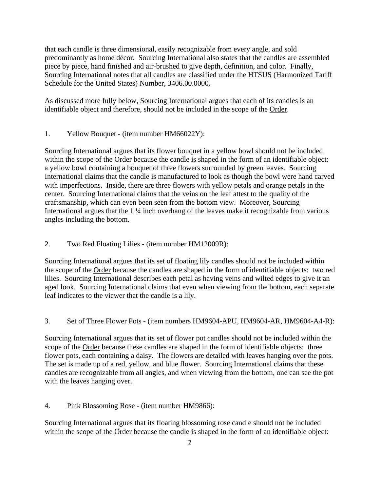that each candle is three dimensional, easily recognizable from every angle, and sold predominantly as home décor. Sourcing International also states that the candles are assembled piece by piece, hand finished and air-brushed to give depth, definition, and color. Finally, Sourcing International notes that all candles are classified under the HTSUS (Harmonized Tariff Schedule for the United States) Number, 3406.00.0000.

As discussed more fully below, Sourcing International argues that each of its candles is an identifiable object and therefore, should not be included in the scope of the Order.

1. Yellow Bouquet - (item number HM66022Y):

Sourcing International argues that its flower bouquet in a yellow bowl should not be included within the scope of the Order because the candle is shaped in the form of an identifiable object: a yellow bowl containing a bouquet of three flowers surrounded by green leaves. Sourcing International claims that the candle is manufactured to look as though the bowl were hand carved with imperfections. Inside, there are three flowers with yellow petals and orange petals in the center. Sourcing International claims that the veins on the leaf attest to the quality of the craftsmanship, which can even been seen from the bottom view. Moreover, Sourcing International argues that the 1 ¼ inch overhang of the leaves make it recognizable from various angles including the bottom.

2. Two Red Floating Lilies - (item number HM12009R):

Sourcing International argues that its set of floating lily candles should not be included within the scope of the Order because the candles are shaped in the form of identifiable objects: two red lilies. Sourcing International describes each petal as having veins and wilted edges to give it an aged look. Sourcing International claims that even when viewing from the bottom, each separate leaf indicates to the viewer that the candle is a lily.

3. Set of Three Flower Pots - (item numbers HM9604-APU, HM9604-AR, HM9604-A4-R):

Sourcing International argues that its set of flower pot candles should not be included within the scope of the Order because these candles are shaped in the form of identifiable objects: three flower pots, each containing a daisy. The flowers are detailed with leaves hanging over the pots. The set is made up of a red, yellow, and blue flower. Sourcing International claims that these candles are recognizable from all angles, and when viewing from the bottom, one can see the pot with the leaves hanging over.

4. Pink Blossoming Rose - (item number HM9866):

Sourcing International argues that its floating blossoming rose candle should not be included within the scope of the Order because the candle is shaped in the form of an identifiable object: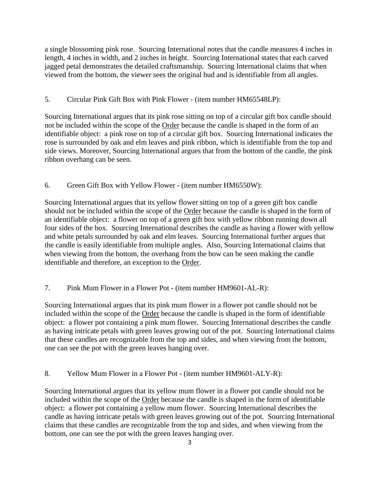a single blossoming pink rose. Sourcing International notes that the candle measures 4 inches in length, 4 inches in width, and 2 inches in height. Sourcing International states that each carved jagged petal demonstrates the detailed craftsmanship. Sourcing International claims that when viewed from the bottom, the viewer sees the original bud and is identifiable from all angles.

# 5. Circular Pink Gift Box with Pink Flower - (item number HM65548LP):

Sourcing International argues that its pink rose sitting on top of a circular gift box candle should not be included within the scope of the Order because the candle is shaped in the form of an identifiable object: a pink rose on top of a circular gift box. Sourcing International indicates the rose is surrounded by oak and elm leaves and pink ribbon, which is identifiable from the top and side views. Moreover, Sourcing International argues that from the bottom of the candle, the pink ribbon overhang can be seen.

## 6. Green Gift Box with Yellow Flower - (item number HM6550W):

Sourcing International argues that its yellow flower sitting on top of a green gift box candle should not be included within the scope of the Order because the candle is shaped in the form of an identifiable object: a flower on top of a green gift box with yellow ribbon running down all four sides of the box. Sourcing International describes the candle as having a flower with yellow and white petals surrounded by oak and elm leaves. Sourcing International further argues that the candle is easily identifiable from multiple angles. Also, Sourcing International claims that when viewing from the bottom, the overhang from the bow can be seen making the candle identifiable and therefore, an exception to the Order.

# 7. Pink Mum Flower in a Flower Pot - (item number HM9601-AL-R):

Sourcing International argues that its pink mum flower in a flower pot candle should not be included within the scope of the Order because the candle is shaped in the form of identifiable object: a flower pot containing a pink mum flower. Sourcing International describes the candle as having intricate petals with green leaves growing out of the pot. Sourcing International claims that these candles are recognizable from the top and sides, and when viewing from the bottom, one can see the pot with the green leaves hanging over.

## 8. Yellow Mum Flower in a Flower Pot - (item number HM9601-ALY-R):

Sourcing International argues that its yellow mum flower in a flower pot candle should not be included within the scope of the Order because the candle is shaped in the form of identifiable object: a flower pot containing a yellow mum flower. Sourcing International describes the candle as having intricate petals with green leaves growing out of the pot. Sourcing International claims that these candles are recognizable from the top and sides, and when viewing from the bottom, one can see the pot with the green leaves hanging over.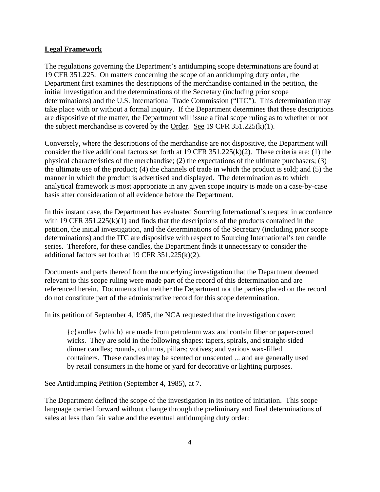#### **Legal Framework**

The regulations governing the Department's antidumping scope determinations are found at 19 CFR 351.225. On matters concerning the scope of an antidumping duty order, the Department first examines the descriptions of the merchandise contained in the petition, the initial investigation and the determinations of the Secretary (including prior scope determinations) and the U.S. International Trade Commission ("ITC"). This determination may take place with or without a formal inquiry. If the Department determines that these descriptions are dispositive of the matter, the Department will issue a final scope ruling as to whether or not the subject merchandise is covered by the Order. See 19 CFR  $351.225(k)(1)$ .

Conversely, where the descriptions of the merchandise are not dispositive, the Department will consider the five additional factors set forth at 19 CFR 351.225(k)(2). These criteria are: (1) the physical characteristics of the merchandise; (2) the expectations of the ultimate purchasers; (3) the ultimate use of the product; (4) the channels of trade in which the product is sold; and (5) the manner in which the product is advertised and displayed. The determination as to which analytical framework is most appropriate in any given scope inquiry is made on a case-by-case basis after consideration of all evidence before the Department.

In this instant case, the Department has evaluated Sourcing International's request in accordance with 19 CFR 351.225(k)(1) and finds that the descriptions of the products contained in the petition, the initial investigation, and the determinations of the Secretary (including prior scope determinations) and the ITC are dispositive with respect to Sourcing International's ten candle series. Therefore, for these candles, the Department finds it unnecessary to consider the additional factors set forth at 19 CFR 351.225(k)(2).

Documents and parts thereof from the underlying investigation that the Department deemed relevant to this scope ruling were made part of the record of this determination and are referenced herein. Documents that neither the Department nor the parties placed on the record do not constitute part of the administrative record for this scope determination.

In its petition of September 4, 1985, the NCA requested that the investigation cover:

{c}andles {which} are made from petroleum wax and contain fiber or paper-cored wicks. They are sold in the following shapes: tapers, spirals, and straight-sided dinner candles; rounds, columns, pillars; votives; and various wax-filled containers. These candles may be scented or unscented ... and are generally used by retail consumers in the home or yard for decorative or lighting purposes.

See Antidumping Petition (September 4, 1985), at 7.

The Department defined the scope of the investigation in its notice of initiation. This scope language carried forward without change through the preliminary and final determinations of sales at less than fair value and the eventual antidumping duty order: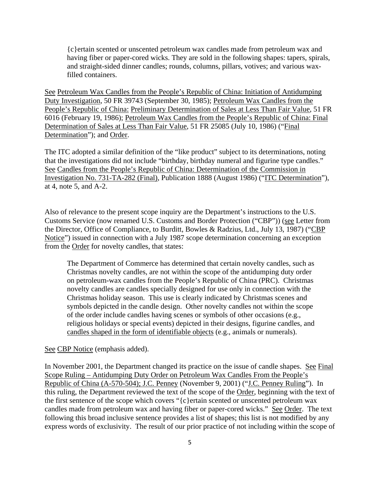{c}ertain scented or unscented petroleum wax candles made from petroleum wax and having fiber or paper-cored wicks. They are sold in the following shapes: tapers, spirals, and straight-sided dinner candles; rounds, columns, pillars, votives; and various waxfilled containers.

See Petroleum Wax Candles from the People's Republic of China: Initiation of Antidumping Duty Investigation, 50 FR 39743 (September 30, 1985); Petroleum Wax Candles from the People's Republic of China: Preliminary Determination of Sales at Less Than Fair Value, 51 FR 6016 (February 19, 1986); Petroleum Wax Candles from the People's Republic of China: Final Determination of Sales at Less Than Fair Value, 51 FR 25085 (July 10, 1986) ("Final Determination"); and Order.

The ITC adopted a similar definition of the "like product" subject to its determinations, noting that the investigations did not include "birthday, birthday numeral and figurine type candles." See Candles from the People's Republic of China: Determination of the Commission in Investigation No. 731-TA-282 (Final), Publication 1888 (August 1986) ("ITC Determination"), at 4, note 5, and A-2.

Also of relevance to the present scope inquiry are the Department's instructions to the U.S. Customs Service (now renamed U.S. Customs and Border Protection ("CBP")) (see Letter from the Director, Office of Compliance, to Burditt, Bowles & Radzius, Ltd., July 13, 1987) ("CBP Notice") issued in connection with a July 1987 scope determination concerning an exception from the Order for novelty candles, that states:

The Department of Commerce has determined that certain novelty candles, such as Christmas novelty candles, are not within the scope of the antidumping duty order on petroleum-wax candles from the People's Republic of China (PRC). Christmas novelty candles are candles specially designed for use only in connection with the Christmas holiday season. This use is clearly indicated by Christmas scenes and symbols depicted in the candle design. Other novelty candles not within the scope of the order include candles having scenes or symbols of other occasions (e.g., religious holidays or special events) depicted in their designs, figurine candles, and candles shaped in the form of identifiable objects (e.g., animals or numerals).

See CBP Notice (emphasis added).

In November 2001, the Department changed its practice on the issue of candle shapes. See Final Scope Ruling – Antidumping Duty Order on Petroleum Wax Candles From the People's Republic of China (A-570-504); J.C. Penney (November 9, 2001) ("J.C. Penney Ruling"). In this ruling, the Department reviewed the text of the scope of the Order, beginning with the text of the first sentence of the scope which covers "{c}ertain scented or unscented petroleum wax candles made from petroleum wax and having fiber or paper-cored wicks." See Order. The text following this broad inclusive sentence provides a list of shapes; this list is not modified by any express words of exclusivity. The result of our prior practice of not including within the scope of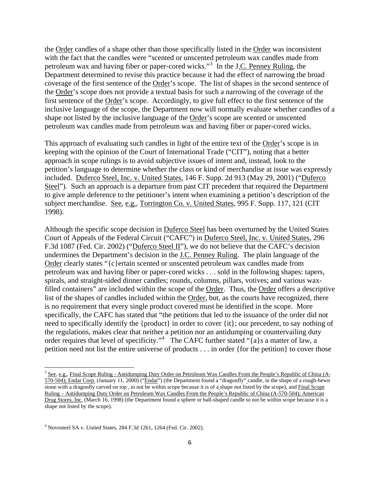the Order candles of a shape other than those specifically listed in the Order was inconsistent with the fact that the candles were "scented or unscented petroleum wax candles made from petroleum wax and having fiber or paper-cored wicks."<sup>[3](#page-6-0)</sup> In the J.C. Penney Ruling, the Department determined to revise this practice because it had the effect of narrowing the broad coverage of the first sentence of the Order's scope. The list of shapes in the second sentence of the Order's scope does not provide a textual basis for such a narrowing of the coverage of the first sentence of the Order's scope. Accordingly, to give full effect to the first sentence of the inclusive language of the scope, the Department now will normally evaluate whether candles of a shape not listed by the inclusive language of the Order's scope are scented or unscented petroleum wax candles made from petroleum wax and having fiber or paper-cored wicks.

This approach of evaluating such candles in light of the entire text of the Order's scope is in keeping with the opinion of the Court of International Trade ("CIT"), noting that a better approach in scope rulings is to avoid subjective issues of intent and, instead, look to the petition's language to determine whether the class or kind of merchandise at issue was expressly included. Duferco Steel, Inc. v. United States, 146 F. Supp. 2d 913 (May 29, 2001) ("Duferco Steel"). Such an approach is a departure from past CIT precedent that required the Department to give ample deference to the petitioner's intent when examining a petition's description of the subject merchandise. See, e.g., Torrington Co. v. United States, 995 F. Supp. 117, 121 (CIT 1998).

Although the specific scope decision in Duferco Steel has been overturned by the United States Court of Appeals of the Federal Circuit ("CAFC") in Duferco Steel, Inc. v. United States, 296 F.3d 1087 (Fed. Cir. 2002) ("Duferco Steel II"), we do not believe that the CAFC's decision undermines the Department's decision in the J.C. Penney Ruling. The plain language of the Order clearly states "{c}ertain scented or unscented petroleum wax candles made from petroleum wax and having fiber or paper-cored wicks . . . sold in the following shapes: tapers, spirals, and straight-sided dinner candles; rounds, columns, pillars, votives; and various waxfilled containers" are included within the scope of the Order. Thus, the Order offers a descriptive list of the shapes of candles included within the Order, but, as the courts have recognized, there is no requirement that every single product covered must be identified in the scope. More specifically, the CAFC has stated that "the petitions that led to the issuance of the order did not need to specifically identify the {product} in order to cover {it}; our precedent, to say nothing of the regulations, makes clear that neither a petition nor an antidumping or countervailing duty order requires that level of specificity."<sup>[4](#page-6-1)</sup> The CAFC further stated "{a}s a matter of law, a petition need not list the entire universe of products . . . in order {for the petition} to cover those

<span id="page-6-0"></span><sup>&</sup>lt;sup>3</sup> See, e.g., Final Scope Ruling - Antidumping Duty Order on Petroleum Wax Candles From the People's Republic of China (A-570-504); Endar Corp. (January 11, 2000) ("Endar") (the Department found a "dragonfly" candle, in the shape of a rough-hewn stone with a dragonfly carved on top , to not be within scope because it is of a shape not listed by the scope), and Final Scope Ruling – Antidumping Duty Order on Petroleum Wax Candles From the People's Republic of China (A-570-504); American Drug Stores, Inc. (March 16, 1998) (the Department found a sphere or ball-shaped candle to not be within scope because it is a shape not listed by the scope).

<span id="page-6-1"></span><sup>4</sup> Novosteel SA v. United States, 284 F.3d 1261, 1264 (Fed. Cir. 2002).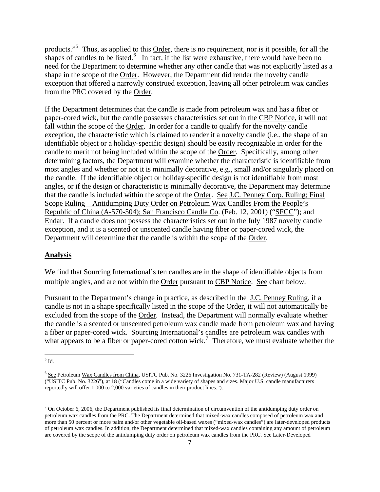products."<sup>[5](#page-7-0)</sup> Thus, as applied to this Order, there is no requirement, nor is it possible, for all the shapes of candles to be listed.<sup>[6](#page-7-1)</sup> In fact, if the list were exhaustive, there would have been no need for the Department to determine whether any other candle that was not explicitly listed as a shape in the scope of the Order. However, the Department did render the novelty candle exception that offered a narrowly construed exception, leaving all other petroleum wax candles from the PRC covered by the Order.

If the Department determines that the candle is made from petroleum wax and has a fiber or paper-cored wick, but the candle possesses characteristics set out in the CBP Notice, it will not fall within the scope of the Order. In order for a candle to qualify for the novelty candle exception, the characteristic which is claimed to render it a novelty candle (i.e., the shape of an identifiable object or a holiday-specific design) should be easily recognizable in order for the candle to merit not being included within the scope of the Order. Specifically, among other determining factors, the Department will examine whether the characteristic is identifiable from most angles and whether or not it is minimally decorative, e.g., small and/or singularly placed on the candle. If the identifiable object or holiday-specific design is not identifiable from most angles, or if the design or characteristic is minimally decorative, the Department may determine that the candle is included within the scope of the Order. See J.C. Penney Corp. Ruling; Final Scope Ruling – Antidumping Duty Order on Petroleum Wax Candles From the People's Republic of China (A-570-504); San Francisco Candle Co. (Feb. 12, 2001) ("SFCC"); and Endar. If a candle does not possess the characteristics set out in the July 1987 novelty candle exception, and it is a scented or unscented candle having fiber or paper-cored wick, the Department will determine that the candle is within the scope of the Order.

### **Analysis**

We find that Sourcing International's ten candles are in the shape of identifiable objects from multiple angles, and are not within the Order pursuant to CBP Notice. See chart below.

Pursuant to the Department's change in practice, as described in the J.C. Penney Ruling, if a candle is not in a shape specifically listed in the scope of the Order, it will not automatically be excluded from the scope of the Order. Instead, the Department will normally evaluate whether the candle is a scented or unscented petroleum wax candle made from petroleum wax and having a fiber or paper-cored wick. Sourcing International's candles are petroleum wax candles with what appears to be a fiber or paper-cored cotton wick.<sup>[7](#page-7-2)</sup> Therefore, we must evaluate whether the

<span id="page-7-0"></span> $<sup>5</sup>$  Id.</sup>

<span id="page-7-1"></span><sup>&</sup>lt;sup>6</sup> See Petroleum Wax Candles from China, USITC Pub. No. 3226 Investigation No. 731-TA-282 (Review) (August 1999) ("USITC Pub. No. 3226"), at 18 ("Candles come in a wide variety of shapes and sizes. Major U.S. candle manufacturers reportedly will offer 1,000 to 2,000 varieties of candles in their product lines.").

<span id="page-7-2"></span> $<sup>7</sup>$  On October 6, 2006, the Department published its final determination of circumvention of the antidumping duty order on</sup> petroleum wax candles from the PRC. The Department determined that mixed-wax candles composed of petroleum wax and more than 50 percent or more palm and/or other vegetable oil-based waxes ("mixed-wax candles") are later-developed products of petroleum wax candles. In addition, the Department determined that mixed-wax candles containing any amount of petroleum are covered by the scope of the antidumping duty order on petroleum wax candles from the PRC. See Later-Developed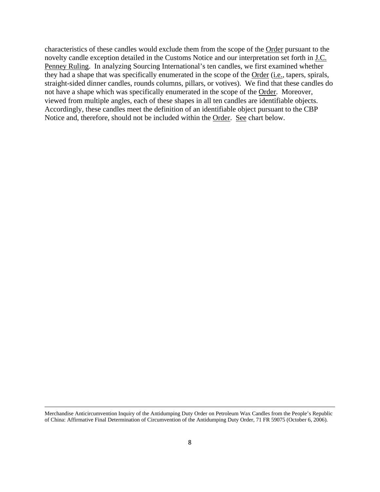characteristics of these candles would exclude them from the scope of the Order pursuant to the novelty candle exception detailed in the Customs Notice and our interpretation set forth in J.C. Penney Ruling. In analyzing Sourcing International's ten candles, we first examined whether they had a shape that was specifically enumerated in the scope of the Order (*i.e.*, tapers, spirals, straight-sided dinner candles, rounds columns, pillars, or votives). We find that these candles do not have a shape which was specifically enumerated in the scope of the Order. Moreover, viewed from multiple angles, each of these shapes in all ten candles are identifiable objects. Accordingly, these candles meet the definition of an identifiable object pursuant to the CBP Notice and, therefore, should not be included within the Order. See chart below.

<sup>&</sup>lt;u> 1989 - Johann Stein, marwolaethau a gweledydd a ganlad y ganlad y ganlad y ganlad y ganlad y ganlad y ganlad</u> Merchandise Anticircumvention Inquiry of the Antidumping Duty Order on Petroleum Wax Candles from the People's Republic of China: Affirmative Final Determination of Circumvention of the Antidumping Duty Order, 71 FR 59075 (October 6, 2006).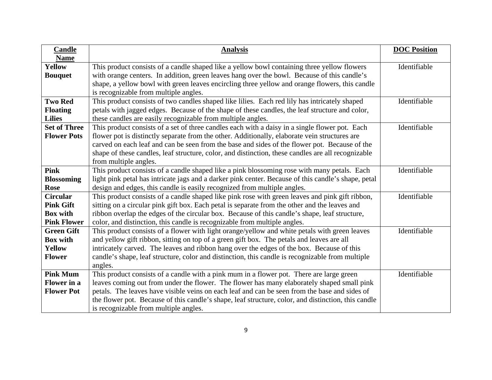| <b>Candle</b>       | <b>Analysis</b>                                                                                     | <b>DOC Position</b> |
|---------------------|-----------------------------------------------------------------------------------------------------|---------------------|
| <b>Name</b>         |                                                                                                     |                     |
| <b>Yellow</b>       | This product consists of a candle shaped like a yellow bowl containing three yellow flowers         | Identifiable        |
| <b>Bouquet</b>      | with orange centers. In addition, green leaves hang over the bowl. Because of this candle's         |                     |
|                     | shape, a yellow bowl with green leaves encircling three yellow and orange flowers, this candle      |                     |
|                     | is recognizable from multiple angles.                                                               |                     |
| <b>Two Red</b>      | This product consists of two candles shaped like lilies. Each red lily has intricately shaped       | Identifiable        |
| <b>Floating</b>     | petals with jagged edges. Because of the shape of these candles, the leaf structure and color,      |                     |
| <b>Lilies</b>       | these candles are easily recognizable from multiple angles.                                         |                     |
| <b>Set of Three</b> | This product consists of a set of three candles each with a daisy in a single flower pot. Each      | Identifiable        |
| <b>Flower Pots</b>  | flower pot is distinctly separate from the other. Additionally, elaborate vein structures are       |                     |
|                     | carved on each leaf and can be seen from the base and sides of the flower pot. Because of the       |                     |
|                     | shape of these candles, leaf structure, color, and distinction, these candles are all recognizable  |                     |
|                     | from multiple angles.                                                                               |                     |
| <b>Pink</b>         | This product consists of a candle shaped like a pink blossoming rose with many petals. Each         | Identifiable        |
| <b>Blossoming</b>   | light pink petal has intricate jags and a darker pink center. Because of this candle's shape, petal |                     |
| <b>Rose</b>         | design and edges, this candle is easily recognized from multiple angles.                            |                     |
| <b>Circular</b>     | This product consists of a candle shaped like pink rose with green leaves and pink gift ribbon,     | Identifiable        |
| <b>Pink Gift</b>    | sitting on a circular pink gift box. Each petal is separate from the other and the leaves and       |                     |
| <b>Box with</b>     | ribbon overlap the edges of the circular box. Because of this candle's shape, leaf structure,       |                     |
| <b>Pink Flower</b>  | color, and distinction, this candle is recognizable from multiple angles.                           |                     |
| <b>Green Gift</b>   | This product consists of a flower with light orange/yellow and white petals with green leaves       | Identifiable        |
| <b>Box with</b>     | and yellow gift ribbon, sitting on top of a green gift box. The petals and leaves are all           |                     |
| <b>Yellow</b>       | intricately carved. The leaves and ribbon hang over the edges of the box. Because of this           |                     |
| <b>Flower</b>       | candle's shape, leaf structure, color and distinction, this candle is recognizable from multiple    |                     |
|                     | angles.                                                                                             |                     |
| <b>Pink Mum</b>     | This product consists of a candle with a pink mum in a flower pot. There are large green            | Identifiable        |
| <b>Flower</b> in a  | leaves coming out from under the flower. The flower has many elaborately shaped small pink          |                     |
| <b>Flower Pot</b>   | petals. The leaves have visible veins on each leaf and can be seen from the base and sides of       |                     |
|                     | the flower pot. Because of this candle's shape, leaf structure, color, and distinction, this candle |                     |
|                     | is recognizable from multiple angles.                                                               |                     |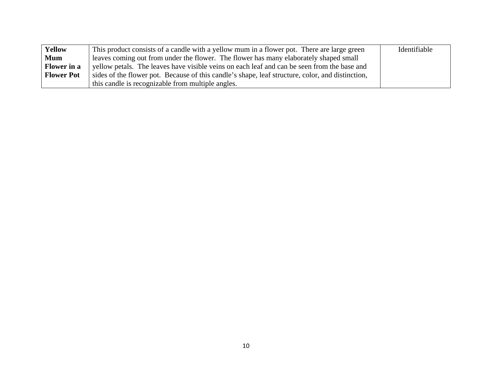| <b>Yellow</b>      | This product consists of a candle with a yellow mum in a flower pot. There are large green       | Identifiable |
|--------------------|--------------------------------------------------------------------------------------------------|--------------|
| <b>Mum</b>         | leaves coming out from under the flower. The flower has many elaborately shaped small            |              |
| <b>Flower</b> in a | yellow petals. The leaves have visible veins on each leaf and can be seen from the base and      |              |
| <b>Flower Pot</b>  | sides of the flower pot. Because of this candle's shape, leaf structure, color, and distinction, |              |
|                    | this candle is recognizable from multiple angles.                                                |              |